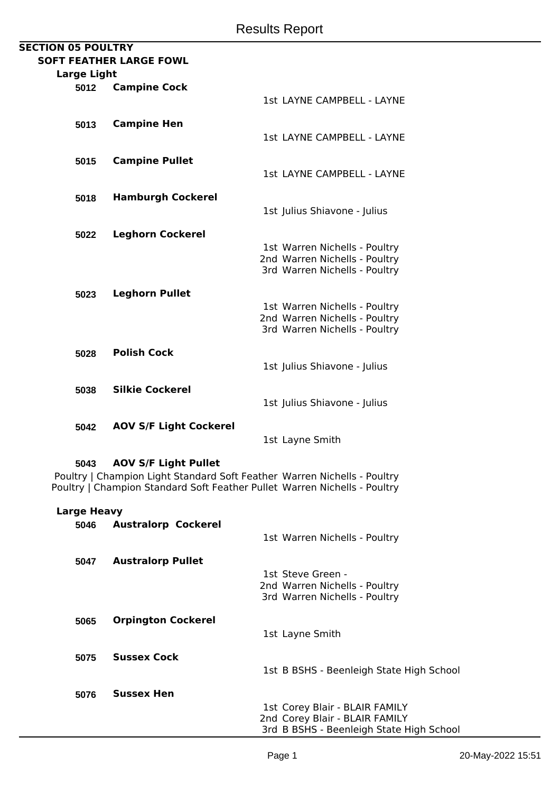| <b>SECTION 05 POULTRY</b> |                    |                                |                                   |
|---------------------------|--------------------|--------------------------------|-----------------------------------|
|                           |                    | <b>SOFT FEATHER LARGE FOWL</b> |                                   |
|                           | <b>Large Light</b> |                                |                                   |
|                           | 5012               | <b>Campine Cock</b>            |                                   |
|                           |                    |                                | 1st LAYNE CAMPBELL - LAYNE        |
|                           |                    |                                |                                   |
|                           | 5013               | <b>Campine Hen</b>             |                                   |
|                           |                    |                                | <b>1st LAYNE CAMPBELL - LAYNE</b> |
|                           |                    |                                |                                   |
|                           | 5015               | <b>Campine Pullet</b>          |                                   |
|                           |                    |                                | <b>1st LAYNE CAMPBELL - LAYNE</b> |
|                           |                    |                                |                                   |
|                           | 5018               | <b>Hamburgh Cockerel</b>       |                                   |
|                           |                    |                                | 1st Julius Shiavone - Julius      |
|                           |                    |                                |                                   |
|                           | 5022               | <b>Leghorn Cockerel</b>        |                                   |
|                           |                    |                                | 1st Warren Nichells - Poultry     |
|                           |                    |                                | 2nd Warren Nichells - Poultry     |
|                           |                    |                                | 3rd Warren Nichells - Poultry     |
|                           |                    |                                |                                   |
|                           | 5023               | <b>Leghorn Pullet</b>          |                                   |
|                           |                    |                                | 1st Warren Nichells - Poultry     |
|                           |                    |                                | 2nd Warren Nichells - Poultry     |
|                           |                    |                                | 3rd Warren Nichells - Poultry     |
|                           |                    |                                |                                   |
|                           | 5028               | <b>Polish Cock</b>             |                                   |
|                           |                    |                                | 1st Julius Shiavone - Julius      |
|                           |                    |                                |                                   |
|                           | 5038               | <b>Silkie Cockerel</b>         |                                   |
|                           |                    |                                | 1st Julius Shiavone - Julius      |
|                           |                    |                                |                                   |
|                           | 5042               | <b>AOV S/F Light Cockerel</b>  |                                   |
|                           |                    |                                | 1st Layne Smith                   |

## **5043 AOV S/F Light Pullet**

Poultry | Champion Light Standard Soft Feather Warren Nichells - Poultry Poultry | Champion Standard Soft Feather Pullet Warren Nichells - Poultry

## **Large Heavy**

| 5046 | <b>Australorp Cockerel</b> |                                          |
|------|----------------------------|------------------------------------------|
|      |                            | 1st Warren Nichells - Poultry            |
| 5047 | <b>Australorp Pullet</b>   |                                          |
|      |                            | 1st Steve Green -                        |
|      |                            | 2nd Warren Nichells - Poultry            |
|      |                            | 3rd Warren Nichells - Poultry            |
| 5065 | <b>Orpington Cockerel</b>  |                                          |
|      |                            | 1st Layne Smith                          |
|      |                            |                                          |
| 5075 | <b>Sussex Cock</b>         |                                          |
|      |                            | 1st B BSHS - Beenleigh State High School |
| 5076 | <b>Sussex Hen</b>          |                                          |
|      |                            | 1st Corey Blair - BLAIR FAMILY           |
|      |                            | 2nd Corey Blair - BLAIR FAMILY           |
|      |                            | 3rd B BSHS - Beenleigh State High School |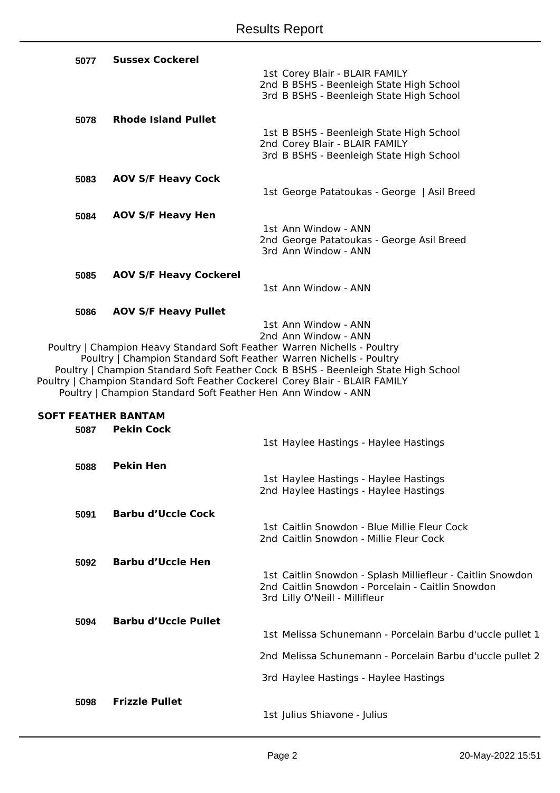| 5077                               | <b>Sussex Cockerel</b>                                                                                                                                                                                                                                                                          |                                                                                                                                                   |
|------------------------------------|-------------------------------------------------------------------------------------------------------------------------------------------------------------------------------------------------------------------------------------------------------------------------------------------------|---------------------------------------------------------------------------------------------------------------------------------------------------|
|                                    |                                                                                                                                                                                                                                                                                                 | 1st Corey Blair - BLAIR FAMILY<br>2nd B BSHS - Beenleigh State High School<br>3rd B BSHS - Beenleigh State High School                            |
| 5078                               | <b>Rhode Island Pullet</b>                                                                                                                                                                                                                                                                      |                                                                                                                                                   |
|                                    |                                                                                                                                                                                                                                                                                                 | 1st B BSHS - Beenleigh State High School<br>2nd Corey Blair - BLAIR FAMILY<br>3rd B BSHS - Beenleigh State High School                            |
|                                    |                                                                                                                                                                                                                                                                                                 |                                                                                                                                                   |
| 5083                               | <b>AOV S/F Heavy Cock</b>                                                                                                                                                                                                                                                                       | 1st George Patatoukas - George   Asil Breed                                                                                                       |
| 5084                               | <b>AOV S/F Heavy Hen</b>                                                                                                                                                                                                                                                                        |                                                                                                                                                   |
|                                    |                                                                                                                                                                                                                                                                                                 | 1st Ann Window - ANN<br>2nd George Patatoukas - George Asil Breed<br>3rd Ann Window - ANN                                                         |
| 5085                               | <b>AOV S/F Heavy Cockerel</b>                                                                                                                                                                                                                                                                   |                                                                                                                                                   |
|                                    |                                                                                                                                                                                                                                                                                                 | 1st Ann Window - ANN                                                                                                                              |
| 5086                               | <b>AOV S/F Heavy Pullet</b>                                                                                                                                                                                                                                                                     |                                                                                                                                                   |
|                                    | Poultry   Champion Heavy Standard Soft Feather Warren Nichells - Poultry<br>Poultry   Champion Standard Soft Feather Warren Nichells - Poultry<br>Poultry   Champion Standard Soft Feather Cockerel Corey Blair - BLAIR FAMILY<br>Poultry   Champion Standard Soft Feather Hen Ann Window - ANN | 1st Ann Window - ANN<br>2nd Ann Window - ANN<br>Poultry   Champion Standard Soft Feather Cock B BSHS - Beenleigh State High School                |
|                                    |                                                                                                                                                                                                                                                                                                 |                                                                                                                                                   |
| <b>SOFT FEATHER BANTAM</b><br>5087 | <b>Pekin Cock</b>                                                                                                                                                                                                                                                                               |                                                                                                                                                   |
|                                    |                                                                                                                                                                                                                                                                                                 | 1st Haylee Hastings - Haylee Hastings                                                                                                             |
| 5088                               | <b>Pekin Hen</b>                                                                                                                                                                                                                                                                                |                                                                                                                                                   |
|                                    |                                                                                                                                                                                                                                                                                                 | 1st Haylee Hastings - Haylee Hastings<br>2nd Haylee Hastings - Haylee Hastings                                                                    |
| 5091                               | <b>Barbu d'Uccle Cock</b>                                                                                                                                                                                                                                                                       |                                                                                                                                                   |
|                                    |                                                                                                                                                                                                                                                                                                 | 1st Caitlin Snowdon - Blue Millie Fleur Cock<br>2nd Caitlin Snowdon - Millie Fleur Cock                                                           |
| 5092                               | <b>Barbu d'Uccle Hen</b>                                                                                                                                                                                                                                                                        |                                                                                                                                                   |
|                                    |                                                                                                                                                                                                                                                                                                 | 1st Caitlin Snowdon - Splash Milliefleur - Caitlin Snowdon<br>2nd Caitlin Snowdon - Porcelain - Caitlin Snowdon<br>3rd Lilly O'Neill - Millifleur |
| 5094                               | <b>Barbu d'Uccle Pullet</b>                                                                                                                                                                                                                                                                     |                                                                                                                                                   |
|                                    |                                                                                                                                                                                                                                                                                                 | 1st Melissa Schunemann - Porcelain Barbu d'uccle pullet 1                                                                                         |
|                                    |                                                                                                                                                                                                                                                                                                 | 2nd Melissa Schunemann - Porcelain Barbu d'uccle pullet 2                                                                                         |

**5098 Frizzle Pullet**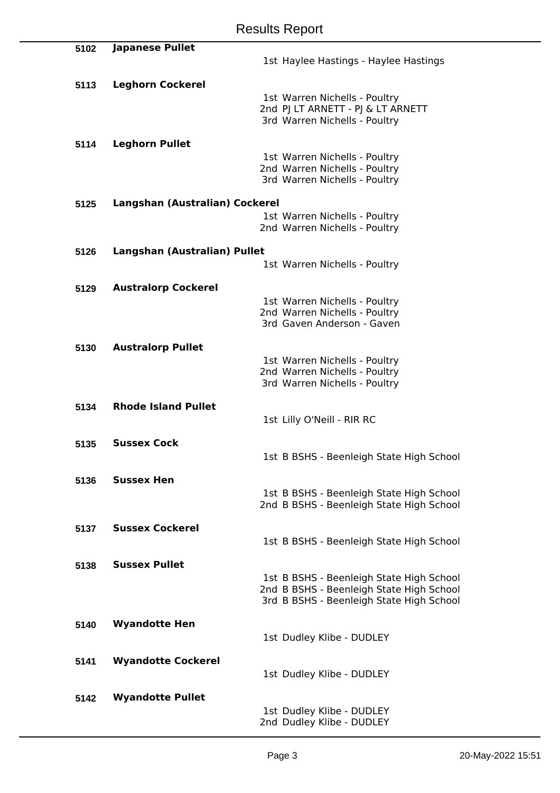| 5102 | <b>Japanese Pullet</b>         |                                          |
|------|--------------------------------|------------------------------------------|
|      |                                | 1st Haylee Hastings - Haylee Hastings    |
|      |                                |                                          |
|      |                                |                                          |
| 5113 | <b>Leghorn Cockerel</b>        |                                          |
|      |                                | 1st Warren Nichells - Poultry            |
|      |                                | 2nd PJ LT ARNETT - PJ & LT ARNETT        |
|      |                                | 3rd Warren Nichells - Poultry            |
|      |                                |                                          |
| 5114 | <b>Leghorn Pullet</b>          |                                          |
|      |                                | 1st Warren Nichells - Poultry            |
|      |                                | 2nd Warren Nichells - Poultry            |
|      |                                | 3rd Warren Nichells - Poultry            |
|      |                                |                                          |
| 5125 | Langshan (Australian) Cockerel |                                          |
|      |                                | 1st Warren Nichells - Poultry            |
|      |                                | 2nd Warren Nichells - Poultry            |
|      |                                |                                          |
| 5126 | Langshan (Australian) Pullet   |                                          |
|      |                                | 1st Warren Nichells - Poultry            |
|      |                                |                                          |
|      |                                |                                          |
| 5129 | <b>Australorp Cockerel</b>     |                                          |
|      |                                | 1st Warren Nichells - Poultry            |
|      |                                | 2nd Warren Nichells - Poultry            |
|      |                                | 3rd Gaven Anderson - Gaven               |
|      |                                |                                          |
| 5130 | <b>Australorp Pullet</b>       |                                          |
|      |                                | 1st Warren Nichells - Poultry            |
|      |                                | 2nd Warren Nichells - Poultry            |
|      |                                | 3rd Warren Nichells - Poultry            |
|      |                                |                                          |
| 5134 | <b>Rhode Island Pullet</b>     |                                          |
|      |                                | 1st Lilly O'Neill - RIR RC               |
|      |                                |                                          |
| 5135 | <b>Sussex Cock</b>             |                                          |
|      |                                | 1st B BSHS - Beenleigh State High School |
|      |                                |                                          |
| 5136 | <b>Sussex Hen</b>              |                                          |
|      |                                | 1st B BSHS - Beenleigh State High School |
|      |                                | 2nd B BSHS - Beenleigh State High School |
|      |                                |                                          |
|      | <b>Sussex Cockerel</b>         |                                          |
| 5137 |                                |                                          |
|      |                                | 1st B BSHS - Beenleigh State High School |
|      |                                |                                          |
| 5138 | <b>Sussex Pullet</b>           |                                          |
|      |                                | 1st B BSHS - Beenleigh State High School |
|      |                                | 2nd B BSHS - Beenleigh State High School |
|      |                                | 3rd B BSHS - Beenleigh State High School |
|      |                                |                                          |
| 5140 | <b>Wyandotte Hen</b>           |                                          |
|      |                                | 1st Dudley Klibe - DUDLEY                |
|      |                                |                                          |
| 5141 | <b>Wyandotte Cockerel</b>      |                                          |
|      |                                | 1st Dudley Klibe - DUDLEY                |
|      |                                |                                          |
| 5142 | <b>Wyandotte Pullet</b>        |                                          |
|      |                                |                                          |
|      |                                | 1st Dudley Klibe - DUDLEY                |
|      |                                | 2nd Dudley Klibe - DUDLEY                |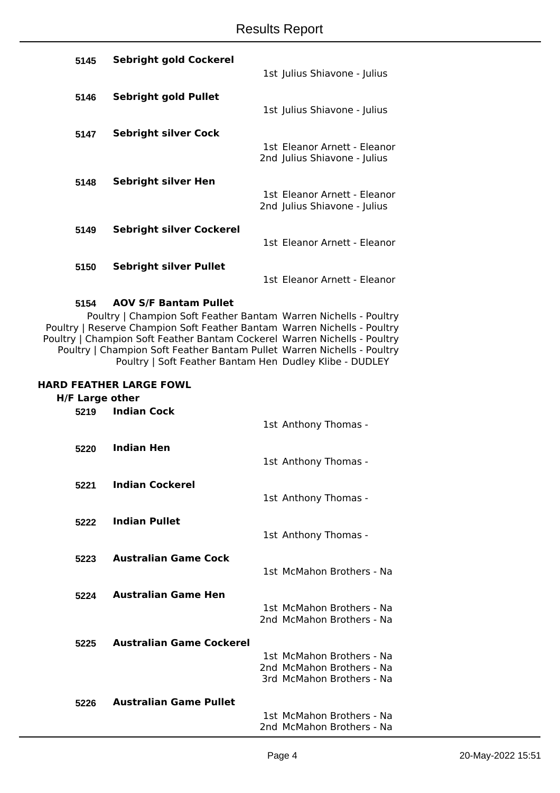| 5145 | <b>Sebright gold Cockerel</b>   |                                                              |
|------|---------------------------------|--------------------------------------------------------------|
|      |                                 | 1st Julius Shiavone - Julius                                 |
| 5146 | Sebright gold Pullet            |                                                              |
|      |                                 | 1st Julius Shiavone - Julius                                 |
| 5147 | <b>Sebright silver Cock</b>     |                                                              |
|      |                                 | 1st Eleanor Arnett - Eleanor<br>2nd Julius Shiavone - Julius |
|      |                                 |                                                              |
| 5148 | Sebright silver Hen             | 1st Eleanor Arnett - Eleanor                                 |
|      |                                 | 2nd Julius Shiavone - Julius                                 |
| 5149 | <b>Sebright silver Cockerel</b> |                                                              |
|      |                                 | 1st Eleanor Arnett - Eleanor                                 |
| 5150 | <b>Sebright silver Pullet</b>   |                                                              |
|      |                                 | 1st Eleanor Arnett - Eleanor                                 |

### **5154 AOV S/F Bantam Pullet**

Poultry | Champion Soft Feather Bantam Warren Nichells - Poultry Poultry | Reserve Champion Soft Feather Bantam Warren Nichells - Poultry Poultry | Champion Soft Feather Bantam Cockerel Warren Nichells - Poultry Poultry | Champion Soft Feather Bantam Pullet Warren Nichells - Poultry Poultry | Soft Feather Bantam Hen Dudley Klibe - DUDLEY

#### **HARD FEATHER LARGE FOWL**

## **H/F Large other**

| 5219 | <b>Indian Cock</b>              | 1st Anthony Thomas -                                   |
|------|---------------------------------|--------------------------------------------------------|
| 5220 | Indian Hen                      | 1st Anthony Thomas -                                   |
| 5221 | <b>Indian Cockerel</b>          | 1st Anthony Thomas -                                   |
| 5222 | <b>Indian Pullet</b>            | 1st Anthony Thomas -                                   |
| 5223 | <b>Australian Game Cock</b>     | 1st McMahon Brothers - Na                              |
| 5224 | <b>Australian Game Hen</b>      | 1st McMahon Brothers - Na<br>2nd McMahon Brothers - Na |
| 5225 | <b>Australian Game Cockerel</b> | 1st McMahon Brothers - Na                              |
|      |                                 | 2nd McMahon Brothers - Na<br>3rd McMahon Brothers - Na |
| 5226 | <b>Australian Game Pullet</b>   | 1st McMahon Brothers - Na<br>2nd McMahon Brothers - Na |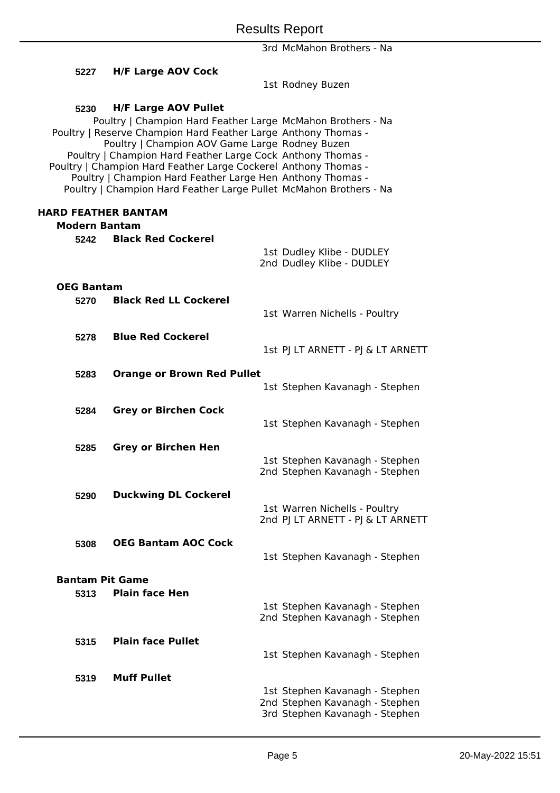3rd McMahon Brothers - Na

| 5227                       | <b>H/F Large AOV Cock</b>                                                                                                                                                                                                                                                                                                                                                                                                                                                            |  | 1st Rodney Buzen                                                                                   |  |
|----------------------------|--------------------------------------------------------------------------------------------------------------------------------------------------------------------------------------------------------------------------------------------------------------------------------------------------------------------------------------------------------------------------------------------------------------------------------------------------------------------------------------|--|----------------------------------------------------------------------------------------------------|--|
|                            |                                                                                                                                                                                                                                                                                                                                                                                                                                                                                      |  |                                                                                                    |  |
| 5230                       | <b>H/F Large AOV Pullet</b><br>Poultry   Champion Hard Feather Large McMahon Brothers - Na<br>Poultry   Reserve Champion Hard Feather Large Anthony Thomas -<br>Poultry   Champion AOV Game Large Rodney Buzen<br>Poultry   Champion Hard Feather Large Cock Anthony Thomas -<br>Poultry   Champion Hard Feather Large Cockerel Anthony Thomas -<br>Poultry   Champion Hard Feather Large Hen Anthony Thomas -<br>Poultry   Champion Hard Feather Large Pullet McMahon Brothers - Na |  |                                                                                                    |  |
| <b>HARD FEATHER BANTAM</b> |                                                                                                                                                                                                                                                                                                                                                                                                                                                                                      |  |                                                                                                    |  |
| <b>Modern Bantam</b>       |                                                                                                                                                                                                                                                                                                                                                                                                                                                                                      |  |                                                                                                    |  |
| 5242                       | <b>Black Red Cockerel</b>                                                                                                                                                                                                                                                                                                                                                                                                                                                            |  | 1st Dudley Klibe - DUDLEY<br>2nd Dudley Klibe - DUDLEY                                             |  |
| <b>OEG Bantam</b>          |                                                                                                                                                                                                                                                                                                                                                                                                                                                                                      |  |                                                                                                    |  |
| 5270                       | <b>Black Red LL Cockerel</b>                                                                                                                                                                                                                                                                                                                                                                                                                                                         |  |                                                                                                    |  |
|                            |                                                                                                                                                                                                                                                                                                                                                                                                                                                                                      |  | 1st Warren Nichells - Poultry                                                                      |  |
| 5278                       | <b>Blue Red Cockerel</b>                                                                                                                                                                                                                                                                                                                                                                                                                                                             |  | 1st PJ LT ARNETT - PJ & LT ARNETT                                                                  |  |
| 5283                       | <b>Orange or Brown Red Pullet</b>                                                                                                                                                                                                                                                                                                                                                                                                                                                    |  |                                                                                                    |  |
|                            |                                                                                                                                                                                                                                                                                                                                                                                                                                                                                      |  | 1st Stephen Kavanagh - Stephen                                                                     |  |
| 5284                       | <b>Grey or Birchen Cock</b>                                                                                                                                                                                                                                                                                                                                                                                                                                                          |  | 1st Stephen Kavanagh - Stephen                                                                     |  |
| 5285                       | <b>Grey or Birchen Hen</b>                                                                                                                                                                                                                                                                                                                                                                                                                                                           |  |                                                                                                    |  |
|                            |                                                                                                                                                                                                                                                                                                                                                                                                                                                                                      |  | 1st Stephen Kavanagh - Stephen<br>2nd Stephen Kavanagh - Stephen                                   |  |
| 5290                       | <b>Duckwing DL Cockerel</b>                                                                                                                                                                                                                                                                                                                                                                                                                                                          |  |                                                                                                    |  |
|                            |                                                                                                                                                                                                                                                                                                                                                                                                                                                                                      |  | 1st Warren Nichells - Poultry<br>2nd PJ LT ARNETT - PJ & LT ARNETT                                 |  |
| 5308                       | <b>OEG Bantam AOC Cock</b>                                                                                                                                                                                                                                                                                                                                                                                                                                                           |  | 1st Stephen Kavanagh - Stephen                                                                     |  |
| <b>Bantam Pit Game</b>     |                                                                                                                                                                                                                                                                                                                                                                                                                                                                                      |  |                                                                                                    |  |
| 5313                       | <b>Plain face Hen</b>                                                                                                                                                                                                                                                                                                                                                                                                                                                                |  |                                                                                                    |  |
|                            |                                                                                                                                                                                                                                                                                                                                                                                                                                                                                      |  | 1st Stephen Kavanagh - Stephen<br>2nd Stephen Kavanagh - Stephen                                   |  |
| 5315                       | <b>Plain face Pullet</b>                                                                                                                                                                                                                                                                                                                                                                                                                                                             |  | 1st Stephen Kavanagh - Stephen                                                                     |  |
| 5319                       | <b>Muff Pullet</b>                                                                                                                                                                                                                                                                                                                                                                                                                                                                   |  |                                                                                                    |  |
|                            |                                                                                                                                                                                                                                                                                                                                                                                                                                                                                      |  | 1st Stephen Kavanagh - Stephen<br>2nd Stephen Kavanagh - Stephen<br>3rd Stephen Kavanagh - Stephen |  |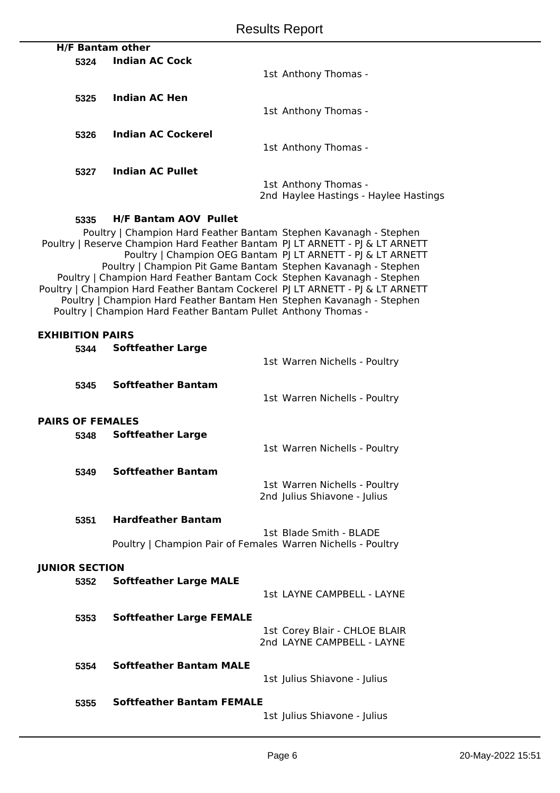|                         |                                                                                                                                         | <b>Results Report</b>                                                         |
|-------------------------|-----------------------------------------------------------------------------------------------------------------------------------------|-------------------------------------------------------------------------------|
|                         | <b>H/F Bantam other</b>                                                                                                                 |                                                                               |
| 5324                    | <b>Indian AC Cock</b>                                                                                                                   |                                                                               |
|                         |                                                                                                                                         | 1st Anthony Thomas -                                                          |
| 5325                    | <b>Indian AC Hen</b>                                                                                                                    |                                                                               |
|                         |                                                                                                                                         | 1st Anthony Thomas -                                                          |
| 5326                    | <b>Indian AC Cockerel</b>                                                                                                               |                                                                               |
|                         |                                                                                                                                         | 1st Anthony Thomas -                                                          |
|                         |                                                                                                                                         |                                                                               |
| 5327                    | <b>Indian AC Pullet</b>                                                                                                                 | 1st Anthony Thomas -                                                          |
|                         |                                                                                                                                         | 2nd Haylee Hastings - Haylee Hastings                                         |
|                         |                                                                                                                                         |                                                                               |
| 5335                    | <b>H/F Bantam AOV Pullet</b><br>Poultry   Champion Hard Feather Bantam Stephen Kavanagh - Stephen                                       |                                                                               |
|                         |                                                                                                                                         | Poultry   Reserve Champion Hard Feather Bantam PJ LT ARNETT - PJ & LT ARNETT  |
|                         |                                                                                                                                         | Poultry   Champion OEG Bantam PJ LT ARNETT - PJ & LT ARNETT                   |
|                         | Poultry   Champion Pit Game Bantam Stephen Kavanagh - Stephen<br>Poultry   Champion Hard Feather Bantam Cock Stephen Kavanagh - Stephen |                                                                               |
|                         |                                                                                                                                         | Poultry   Champion Hard Feather Bantam Cockerel PJ LT ARNETT - PJ & LT ARNETT |
|                         | Poultry   Champion Hard Feather Bantam Hen Stephen Kavanagh - Stephen<br>Poultry   Champion Hard Feather Bantam Pullet Anthony Thomas - |                                                                               |
|                         |                                                                                                                                         |                                                                               |
| <b>EXHIBITION PAIRS</b> |                                                                                                                                         |                                                                               |
| 5344                    | <b>Softfeather Large</b>                                                                                                                | 1st Warren Nichells - Poultry                                                 |
|                         |                                                                                                                                         |                                                                               |
| 5345                    | <b>Softfeather Bantam</b>                                                                                                               |                                                                               |
|                         |                                                                                                                                         | 1st Warren Nichells - Poultry                                                 |
| <b>PAIRS OF FEMALES</b> |                                                                                                                                         |                                                                               |
| 5348                    | <b>Softfeather Large</b>                                                                                                                |                                                                               |
|                         |                                                                                                                                         | 1st Warren Nichells - Poultry                                                 |
| 5349                    | <b>Softfeather Bantam</b>                                                                                                               |                                                                               |
|                         |                                                                                                                                         | 1st Warren Nichells - Poultry                                                 |
|                         |                                                                                                                                         | 2nd Julius Shiavone - Julius                                                  |
| 5351                    | <b>Hardfeather Bantam</b>                                                                                                               |                                                                               |
|                         |                                                                                                                                         | 1st Blade Smith - BLADE                                                       |
|                         | Poultry   Champion Pair of Females Warren Nichells - Poultry                                                                            |                                                                               |
| <b>JUNIOR SECTION</b>   |                                                                                                                                         |                                                                               |
| 5352                    | <b>Softfeather Large MALE</b>                                                                                                           |                                                                               |
|                         |                                                                                                                                         | 1st LAYNE CAMPBELL - LAYNE                                                    |
| 5353                    | <b>Softfeather Large FEMALE</b>                                                                                                         |                                                                               |
|                         |                                                                                                                                         | 1st Corey Blair - CHLOE BLAIR                                                 |
|                         |                                                                                                                                         | 2nd LAYNE CAMPBELL - LAYNE                                                    |
| 5354                    | <b>Softfeather Bantam MALE</b>                                                                                                          |                                                                               |
|                         |                                                                                                                                         | 1st Julius Shiavone - Julius                                                  |

**5355 Softfeather Bantam FEMALE**

1st Julius Shiavone - Julius